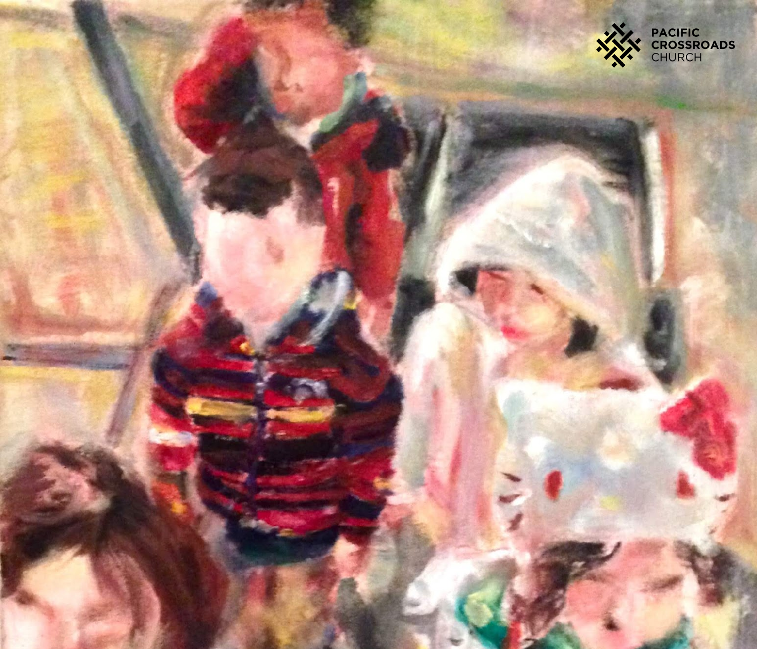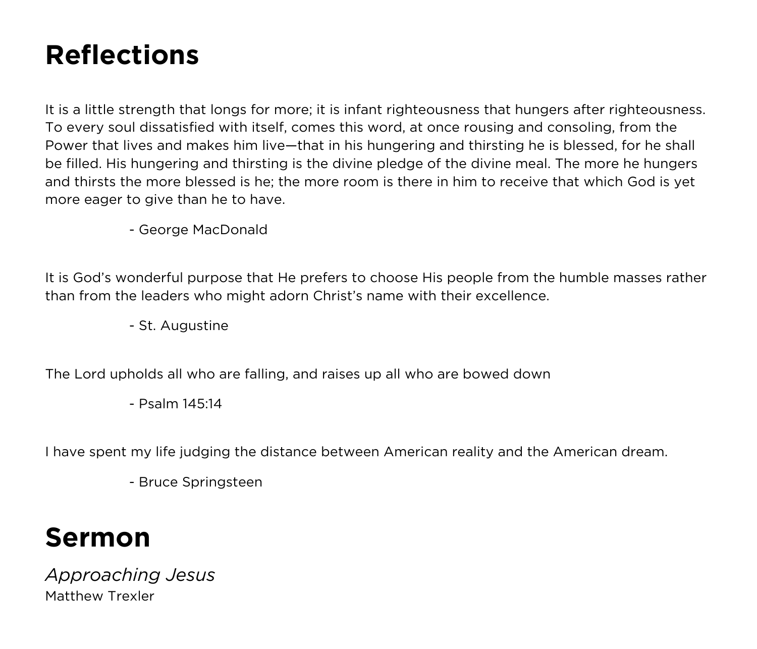# **Reflections**

It is a little strength that longs for more; it is infant righteousness that hungers after righteousness. To every soul dissatisfied with itself, comes this word, at once rousing and consoling, from the Power that lives and makes him live—that in his hungering and thirsting he is blessed, for he shall be filled. His hungering and thirsting is the divine pledge of the divine meal. The more he hungers and thirsts the more blessed is he; the more room is there in him to receive that which God is yet more eager to give than he to have.

- George MacDonald

It is God's wonderful purpose that He prefers to choose His people from the humble masses rather than from the leaders who might adorn Christ's name with their excellence.

- St. Augustine

The Lord upholds all who are falling, and raises up all who are bowed down

- Psalm 145:14

I have spent my life judging the distance between American reality and the American dream.

- Bruce Springsteen

### **Sermon**

*Approaching Jesus* Matthew Trexler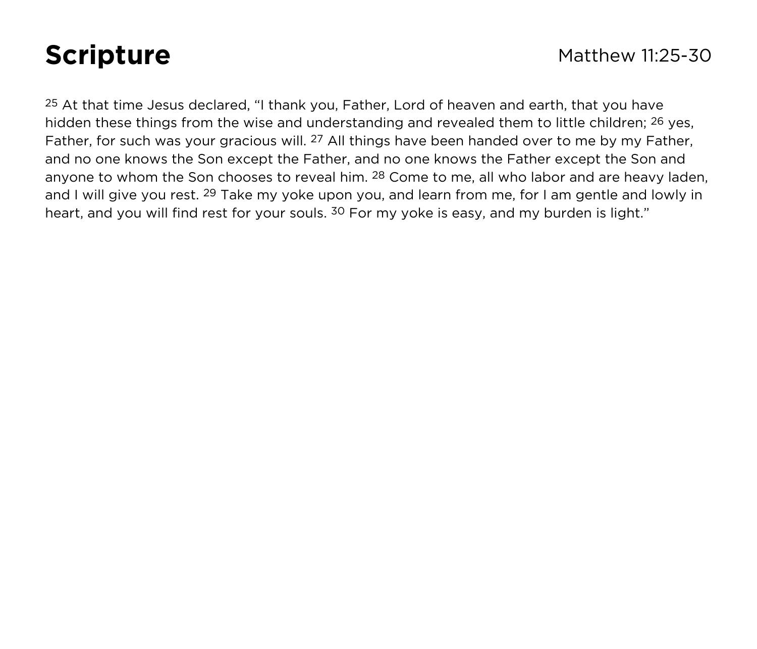25 At that time Jesus declared, "I thank you, Father, Lord of heaven and earth, that you have hidden these things from the wise and understanding and revealed them to little children; 26 yes, Father, for such was your gracious will. <sup>27</sup> All things have been handed over to me by my Father, and no one knows the Son except the Father, and no one knows the Father except the Son and anyone to whom the Son chooses to reveal him. <sup>28</sup> Come to me, all who labor and are heavy laden, and I will give you rest. <sup>29</sup> Take my yoke upon you, and learn from me, for I am gentle and lowly in heart, and you will find rest for your souls. <sup>30</sup> For my yoke is easy, and my burden is light."